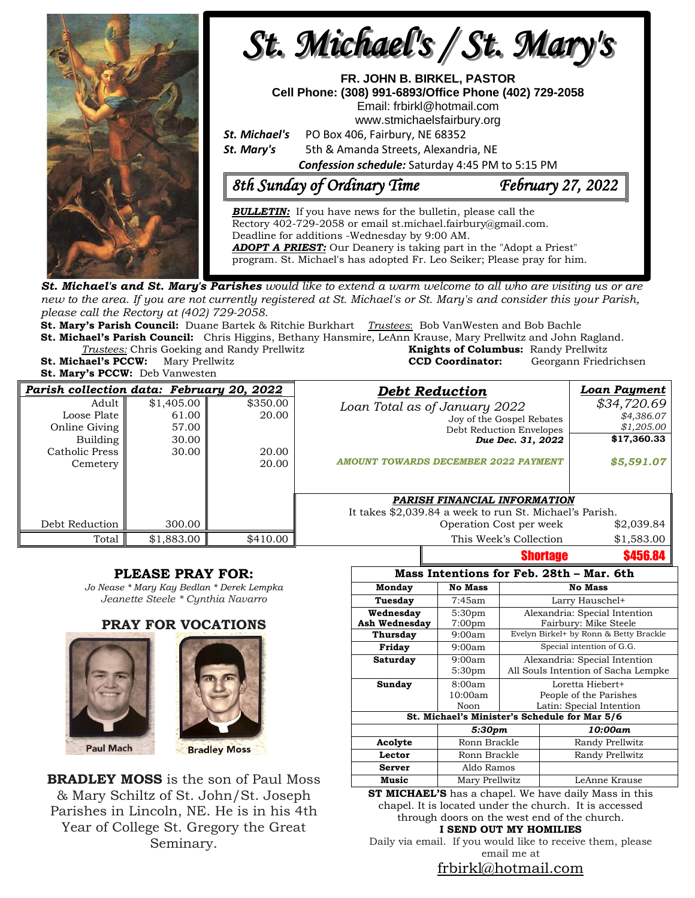

**St. Michael's and St. Mary's Parishes** would like to extend a warm welcome to all who are visiting us or are new to the area. If you are not currently registered at St. Michael's or St. Mary's and consider this your Parish, *please call the Rectory at (402) 729-2058.* 

**St. Mary's Parish Council:** Duane Bartek & Ritchie Burkhart *Trustees*: Bob VanWesten and Bob Bachle **St. Michael's Parish Council:** Chris Higgins, Bethany Hansmire, LeAnn Krause, Mary Prellwitz and John Ragland.

**Trustees:** Chris Goeking and Randy Prellwitz **St. Michael's PCCW:** Mary Prellwitz **CCD Coordinator:** Georgann Friedrichsen

**St. Mary's PCCW:** Deb Vanwesten

| <b>Knights of Columbus: Randy Prellwitz</b> |                      |  |
|---------------------------------------------|----------------------|--|
| <b>CCD Coordinator:</b>                     | Georgann Friedrichse |  |
|                                             |                      |  |

| Parish collection data: February 20, 2022 |            |          | <b>Debt Reduction</b>                                   | <b>Loan Payment</b> |
|-------------------------------------------|------------|----------|---------------------------------------------------------|---------------------|
| Adult                                     | \$1,405.00 | \$350.00 | Loan Total as of January 2022                           | \$34,720.69         |
| Loose Plate                               | 61.00      | 20.00    | Joy of the Gospel Rebates                               | \$4,386.07          |
| Online Giving                             | 57.00      |          | Debt Reduction Envelopes                                | \$1,205.00          |
| Building                                  | 30.00      |          | Due Dec. 31, 2022                                       | \$17,360.33         |
| Catholic Press                            | 30.00      | 20.00    |                                                         |                     |
| Cemetery                                  |            | 20.00    | <b>AMOUNT TOWARDS DECEMBER 2022 PAYMENT</b>             | \$5,591.07          |
|                                           |            |          |                                                         |                     |
|                                           |            |          | PARISH FINANCIAL INFORMATION                            |                     |
|                                           |            |          | It takes \$2,039.84 a week to run St. Michael's Parish. |                     |
| Debt Reduction                            | 300.00     |          | Operation Cost per week                                 | \$2,039.84          |
| Total                                     | \$1,883.00 | \$410.00 | This Week's Collection                                  | \$1,583.00          |
|                                           |            |          | <b>Shortage</b>                                         | \$456.84            |

#### **PLEASE PRAY FOR:**

*Jo Nease \* Mary Kay Bedlan \* Derek Lempka Jeanette Steele \* Cynthia Navarro*

#### **PRAY FOR VOCATIONS**





**BRADLEY MOSS** is the son of Paul Moss & Mary Schiltz of St. John/St. Joseph Parishes in Lincoln, NE. He is in his 4th Year of College St. Gregory the Great Seminary.

| Mass Intentions for Feb. 28th - Mar. 6th      |                    |                                        |                 |  |  |  |  |
|-----------------------------------------------|--------------------|----------------------------------------|-----------------|--|--|--|--|
| Monday                                        | <b>No Mass</b>     | <b>No Mass</b>                         |                 |  |  |  |  |
| Tuesday                                       | 7:45am             | Larry Hauschel+                        |                 |  |  |  |  |
| Wednesday                                     | 5:30pm             | Alexandria: Special Intention          |                 |  |  |  |  |
| <b>Ash Wednesday</b>                          | 7:00 <sub>pm</sub> | Fairbury: Mike Steele                  |                 |  |  |  |  |
| <b>Thursday</b>                               | 9:00am             | Evelyn Birkel+ by Ronn & Betty Brackle |                 |  |  |  |  |
| Friday                                        | 9:00am             | Special intention of G.G.              |                 |  |  |  |  |
| Saturday                                      | 9:00am             | Alexandria: Special Intention          |                 |  |  |  |  |
|                                               | 5:30 <sub>pm</sub> | All Souls Intention of Sacha Lempke    |                 |  |  |  |  |
| Sunday                                        | 8:00am             | Loretta Hiebert+                       |                 |  |  |  |  |
|                                               | 10:00am            | People of the Parishes                 |                 |  |  |  |  |
|                                               | Noon               | Latin: Special Intention               |                 |  |  |  |  |
| St. Michael's Minister's Schedule for Mar 5/6 |                    |                                        |                 |  |  |  |  |
|                                               | 5:30pm             |                                        | 10:00am         |  |  |  |  |
| Acolyte                                       | Ronn Brackle       |                                        | Randy Prellwitz |  |  |  |  |
| Lector                                        | Ronn Brackle       |                                        | Randy Prellwitz |  |  |  |  |
| <b>Server</b>                                 | Aldo Ramos         |                                        |                 |  |  |  |  |
| Music                                         | Mary Prellwitz     |                                        | LeAnne Krause   |  |  |  |  |

**ST MICHAEL'S** has a chapel. We have daily Mass in this chapel. It is located under the church. It is accessed through doors on the west end of the church. **I SEND OUT MY HOMILIES**

Daily via email. If you would like to receive them, please email me at

#### [frbirkl@hotmail.com](mailto:frbirkl@hotmail.com)